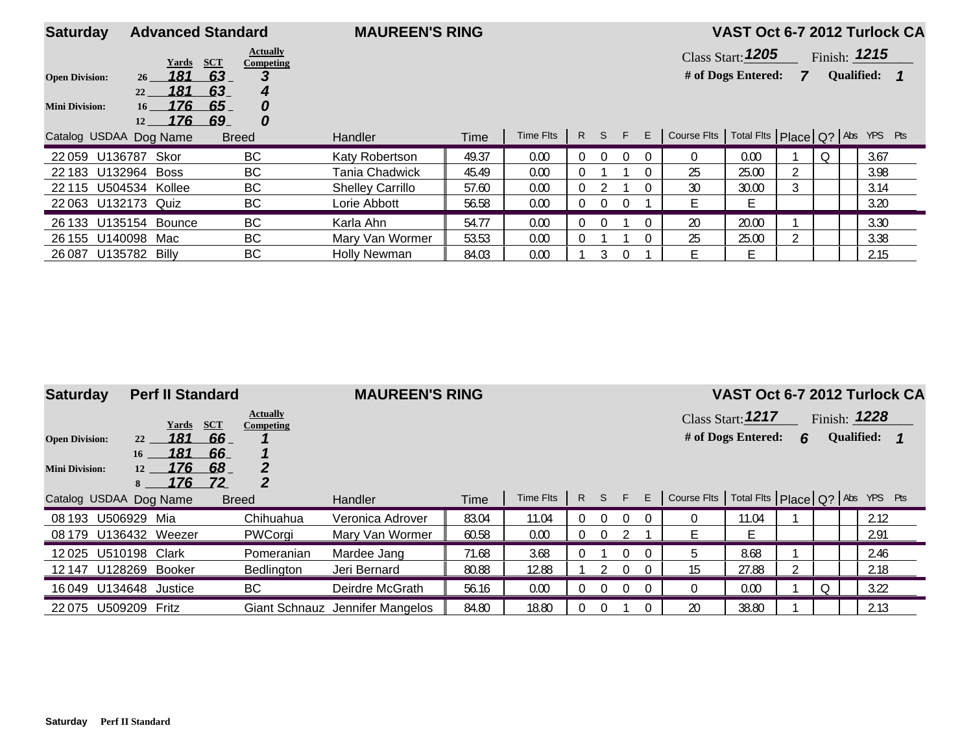| <b>Saturday</b>        | <b>Advanced Standard</b>            |                                              | <b>MAUREEN'S RING</b>   |       |           |                |          |          |   |                                                     | VAST Oct 6-7 2012 Turlock CA |   |                |  |
|------------------------|-------------------------------------|----------------------------------------------|-------------------------|-------|-----------|----------------|----------|----------|---|-----------------------------------------------------|------------------------------|---|----------------|--|
|                        | Yards                               | <b>Actually</b><br><b>SCT</b><br>Competing   |                         |       |           |                |          |          |   |                                                     | <b>Class Start: 1205</b>     |   | Finish: $1215$ |  |
| <b>Open Division:</b>  | 181<br>26                           | 63<br>З                                      |                         |       |           |                |          |          |   |                                                     | # of Dogs Entered:           | 7 | Qualified: 1   |  |
| <b>Mini Division:</b>  | 181<br>22<br>176<br>16<br>176<br>12 | 63<br>4<br>65<br>0<br>$\boldsymbol{0}$<br>69 |                         |       |           |                |          |          |   |                                                     |                              |   |                |  |
| Catalog USDAA Dog Name |                                     | <b>Breed</b>                                 | Handler                 | Time  | Time Flts |                |          | R S F    | E | Course Fits   Total Fits   Place   Q?   Abs YPS Pts |                              |   |                |  |
| 22059 U136787 Skor     |                                     | BC                                           | Katy Robertson          | 49.37 | 0.00      | $\theta$       | $\Omega$ | $\Omega$ |   |                                                     | 0.00                         |   | 3.67           |  |
| 22 183 U132964 Boss    |                                     | <b>BC</b>                                    | Tania Chadwick          | 45.49 | 0.00      |                |          |          |   | 25                                                  | 25.00                        |   | 3.98           |  |
| 22 115 U504534 Kollee  |                                     | <b>BC</b>                                    | <b>Shelley Carrillo</b> | 57.60 | 0.00      | $\overline{0}$ |          |          |   | 30                                                  | 30.00                        |   | 3.14           |  |
| 22 063 U132173 Quiz    |                                     | <b>BC</b>                                    | Lorie Abbott            | 56.58 | 0.00      | $\Omega$       | $\Omega$ | $\Omega$ |   |                                                     | F.                           |   | 3.20           |  |
| 26 133 U135154 Bounce  |                                     | <b>BC</b>                                    | Karla Ahn               | 54.77 | 0.00      | $\theta$       | $\Omega$ |          |   | 20                                                  | 20.00                        |   | 3.30           |  |
| 26 155 U140098         | Mac                                 | <b>BC</b>                                    | Mary Van Wormer         | 53.53 | 0.00      |                |          |          |   | 25                                                  | 25.00                        |   | 3.38           |  |
| 26 0 87                | U135782 Billy                       | <b>BC</b>                                    | <b>Holly Newman</b>     | 84.03 | 0.00      |                |          |          |   |                                                     | E.                           |   | 2.15           |  |

| <b>Saturday</b>        | <b>Perf II Standard</b>            |                   |                              | <b>MAUREEN'S RING</b>           |       |           |          |                |   |                                                     |                    |   |                   | VAST Oct 6-7 2012 Turlock CA |
|------------------------|------------------------------------|-------------------|------------------------------|---------------------------------|-------|-----------|----------|----------------|---|-----------------------------------------------------|--------------------|---|-------------------|------------------------------|
|                        | Yards                              | <b>SCT</b>        | <b>Actually</b><br>Competing |                                 |       |           |          |                |   |                                                     | Class Start: 1217  |   | Finish: $1228$    |                              |
| <b>Open Division:</b>  | 181<br>22                          | 66                |                              |                                 |       |           |          |                |   |                                                     | # of Dogs Entered: | 6 | <b>Qualified:</b> |                              |
| <b>Mini Division:</b>  | 181<br>16<br>176<br>12<br>176<br>8 | -66<br>-68<br>-72 | 2<br>$\boldsymbol{2}$        |                                 |       |           |          |                |   |                                                     |                    |   |                   |                              |
| Catalog USDAA Dog Name |                                    |                   | <b>Breed</b>                 | Handler                         | Time  | Time Flts | $R$ S    | F.             | E | Course Fits   Total Fits   Place   Q?   Abs YPS Pts |                    |   |                   |                              |
| U506929<br>08 193      | Mia                                |                   | Chihuahua                    | Veronica Adrover                | 83.04 | 11.04     |          | $\Omega$       |   | 0                                                   | 11.04              |   |                   | 2.12                         |
| 08 179 U136432 Weezer  |                                    |                   | PWCorgi                      | Mary Van Wormer                 | 60.58 | 0.00      | $\Omega$ |                |   | F                                                   |                    |   |                   | 2.91                         |
| 12025 U510198          | Clark                              |                   | Pomeranian                   | Mardee Jang                     | 71.68 | 3.68      |          | $\Omega$       |   | h                                                   | 8.68               |   |                   | 2.46                         |
| 12 147                 | U128269 Booker                     |                   | Bedlington                   | Jeri Bernard                    | 80.88 | 12.88     |          | $\Omega$       |   | 15                                                  | 27.88              |   |                   | 2.18                         |
| 16 049 U134648 Justice |                                    |                   | BC                           | Deirdre McGrath                 | 56.16 | 0.00      | $\Omega$ | $\overline{0}$ |   | $\theta$                                            | 0.00               |   |                   | 3.22                         |
| 22075 U509209 Fritz    |                                    |                   |                              | Giant Schnauz Jennifer Mangelos | 84.80 | 18.80     |          |                |   | 20                                                  | 38.80              |   |                   | 2.13                         |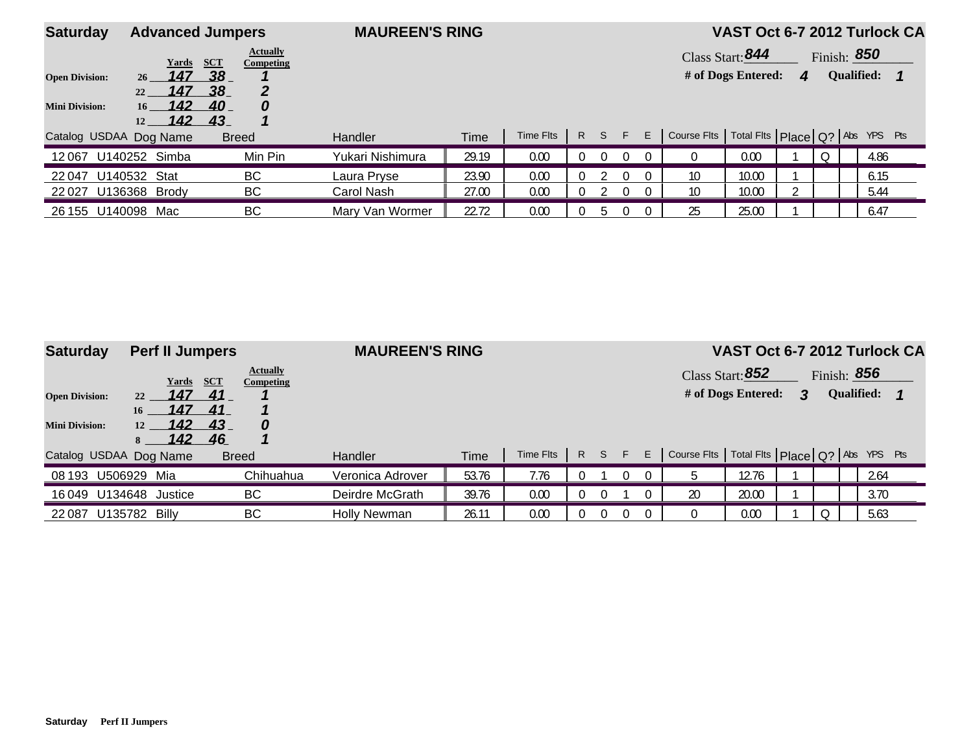| <b>Saturday</b>                                |                                                                 | <b>Advanced Jumpers</b>                                                                   | <b>MAUREEN'S RING</b> |       |           |              |          |          |    |                                                     |                                        |   |   |                                         | VAST Oct 6-7 2012 Turlock CA |
|------------------------------------------------|-----------------------------------------------------------------|-------------------------------------------------------------------------------------------|-----------------------|-------|-----------|--------------|----------|----------|----|-----------------------------------------------------|----------------------------------------|---|---|-----------------------------------------|------------------------------|
| <b>Open Division:</b><br><b>Mini Division:</b> | Yards<br>147<br>26<br>147<br>22<br>142<br>16 <sup>7</sup><br>12 | <b>Actually</b><br><b>SCT</b><br>Competing<br>38 <sub>1</sub><br>.38<br>40<br>0<br>142 43 |                       |       |           |              |          |          |    |                                                     | Class Start: 844<br># of Dogs Entered: | 4 |   | Finish: <b>850</b><br><b>Qualified:</b> |                              |
| Catalog USDAA Dog Name                         |                                                                 | <b>Breed</b>                                                                              | <b>Handler</b>        | Time  | Time Flts | $\mathsf{R}$ | S        | F.       | E. | Course Fits   Total Fits   Place   Q?   Abs YPS Pts |                                        |   |   |                                         |                              |
| 12067                                          | U140252 Simba                                                   | Min Pin                                                                                   | Yukari Nishimura      | 29.19 | 0.00      |              | $\Omega$ | $\Omega$ |    |                                                     | 0.00                                   |   | 0 |                                         | 4.86                         |
| 22047                                          | U140532<br>Stat                                                 | BС                                                                                        | Laura Prvse           | 23.90 | 0.00      |              |          | $\Omega$ |    | 10                                                  | 10.00                                  |   |   |                                         | 6.15                         |
| 22 027 U136368 Brody                           |                                                                 | BС                                                                                        | Carol Nash            | 27.00 | 0.00      |              |          | $\Omega$ |    | 10 <sup>°</sup>                                     | 10.00                                  |   |   |                                         | 5.44                         |
| 26 155 U140098                                 | Mac                                                             | BС                                                                                        | Mary Van Wormer       | 22.72 | 0.00      |              | 5        |          |    | 25                                                  | 25.00                                  |   |   |                                         | 6.47                         |

| <b>Saturday</b>                                | <b>Perf II Jumpers</b>                       |                                                                   | <b>MAUREEN'S RING</b> |       |           |              |    |          |    |                                                     | VAST Oct 6-7 2012 Turlock CA           |   |                                  |  |
|------------------------------------------------|----------------------------------------------|-------------------------------------------------------------------|-----------------------|-------|-----------|--------------|----|----------|----|-----------------------------------------------------|----------------------------------------|---|----------------------------------|--|
| <b>Open Division:</b><br><b>Mini Division:</b> | Yards<br>147<br>22<br>147<br>16<br>142<br>12 | <b>Actually</b><br><b>SCT</b><br>Competing<br>41<br>41<br>43<br>0 |                       |       |           |              |    |          |    |                                                     | Class Start: 852<br># of Dogs Entered: | 3 | Finish: 856<br><b>Qualified:</b> |  |
| Catalog USDAA Dog Name                         | 142                                          | 46<br><b>Breed</b>                                                | <b>Handler</b>        | Time  | Time Flts | $\mathsf{R}$ | S. | F.       | E. | Course Fits   Total Fits   Place   Q?   Abs YPS Pts |                                        |   |                                  |  |
| 08 193                                         | U506929 Mia                                  | Chihuahua                                                         | Veronica Adrover      | 53.76 | 7.76      |              |    | 0        | 0  |                                                     | 12.76                                  |   | 2.64                             |  |
|                                                | 16 049 U134648 Justice                       | <b>BC</b>                                                         | Deirdre McGrath       | 39.76 | 0.00      |              |    |          |    | 20                                                  | 20.00                                  |   | 3.70                             |  |
| 22 0 87                                        | U135782 Billy                                | <b>BC</b>                                                         | <b>Holly Newman</b>   | 26.11 | 0.00      |              |    | $\Omega$ |    |                                                     | 0.00                                   |   | 5.63                             |  |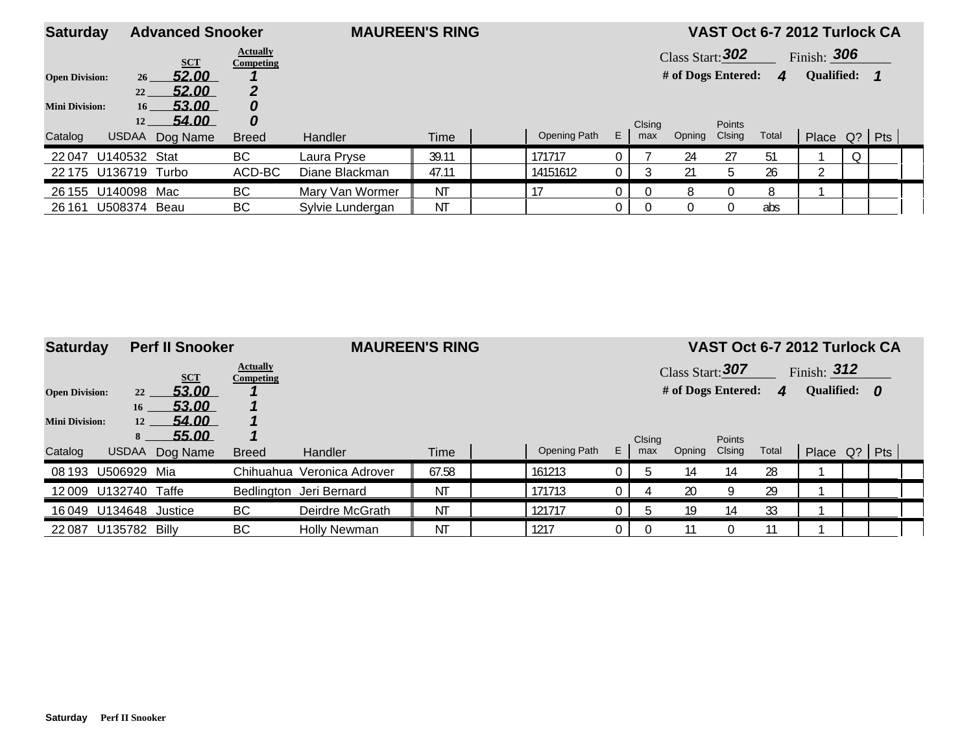| <b>Saturday</b>       | <b>Advanced Snooker</b>           |                                     | <b>MAUREEN'S RING</b> |             |              |    |               |                    |                         | VAST Oct 6-7 2012 Turlock CA |                |   |  |
|-----------------------|-----------------------------------|-------------------------------------|-----------------------|-------------|--------------|----|---------------|--------------------|-------------------------|------------------------------|----------------|---|--|
|                       | <b>SCT</b>                        | <b>Actually</b><br><b>Competing</b> |                       |             |              |    |               | Class Start: $302$ |                         |                              | Finish: $306$  |   |  |
| <b>Open Division:</b> | 52.00<br>26                       |                                     |                       |             |              |    |               | # of Dogs Entered: |                         | $\boldsymbol{\varDelta}$     | Qualified:     |   |  |
|                       | 52.00<br>22                       |                                     |                       |             |              |    |               |                    |                         |                              |                |   |  |
| <b>Mini Division:</b> | 53.00<br>16 <sup>1</sup><br>54.00 | 0<br>0                              |                       |             |              |    |               |                    |                         |                              |                |   |  |
| Catalog               | 12<br><b>USDAA</b><br>Dog Name    | <b>Breed</b>                        | <b>Handler</b>        | <b>Time</b> | Opening Path | E. | Clsing<br>max | Opning             | <b>Points</b><br>Clsing | Total                        | Place Q?   Pts |   |  |
| 22047                 | U140532<br>Stat                   | BC                                  | Laura Pryse           | 39.11       | 171717       |    |               | 24                 | 27                      | 51                           |                | 0 |  |
| 22 175                | U136719 Turbo                     | ACD-BC                              | Diane Blackman        | 47.11       | 14151612     |    |               |                    | .h                      | 26                           | $\sim$         |   |  |
| 26 155                | U140098<br>Mac                    | BC                                  | Mary Van Wormer       | <b>NT</b>   |              |    |               |                    |                         | 8                            |                |   |  |
| 26 161                | U508374 Beau                      | BC                                  | Sylvie Lundergan      | ΝT          |              |    |               |                    |                         | abs                          |                |   |  |

| <b>Saturday</b>       |                | <b>Perf II Snooker</b> |                                     | <b>MAUREEN'S RING</b>      |           |              |    |        |                    |               |                        | VAST Oct 6-7 2012 Turlock CA |  |  |
|-----------------------|----------------|------------------------|-------------------------------------|----------------------------|-----------|--------------|----|--------|--------------------|---------------|------------------------|------------------------------|--|--|
|                       |                | <b>SCT</b>             | <b>Actually</b><br><b>Competing</b> |                            |           |              |    |        | Class Start: 307   |               |                        | Finish: $312$                |  |  |
| <b>Open Division:</b> | 22             | 53.00                  |                                     |                            |           |              |    |        | # of Dogs Entered: |               | $\boldsymbol{\Lambda}$ | Qualified: 0                 |  |  |
|                       | 16             | 53.00                  |                                     |                            |           |              |    |        |                    |               |                        |                              |  |  |
| <b>Mini Division:</b> | 12             | 54.00                  |                                     |                            |           |              |    |        |                    |               |                        |                              |  |  |
|                       | 8              | 55.00                  |                                     |                            |           |              |    | Clsing |                    | <b>Points</b> |                        |                              |  |  |
| Catalog               | <b>USDAA</b>   | Dog Name               | <b>Breed</b>                        | Handler                    | Time      | Opening Path | E. | max    | Opning             | Clsing        | Total                  | Place Q?   Pts               |  |  |
| 08 193                | U506929        | Mia                    |                                     | Chihuahua Veronica Adrover | 67.58     | 161213       |    |        | 14                 | 14            | 28                     |                              |  |  |
|                       | 12 009 U132740 | Taffe                  |                                     | Bedlington Jeri Bernard    | <b>NT</b> | 171713       |    |        | 20                 |               | 29                     |                              |  |  |
|                       | 16049 U134648  | Justice                | BC                                  | Deirdre McGrath            | <b>NT</b> | 121717       |    |        | 19                 | 14            | 33                     |                              |  |  |
| 22 0 87               | U135782        | Billv                  | <b>BC</b>                           | <b>Holly Newman</b>        | <b>NT</b> | 1217         |    |        |                    |               |                        |                              |  |  |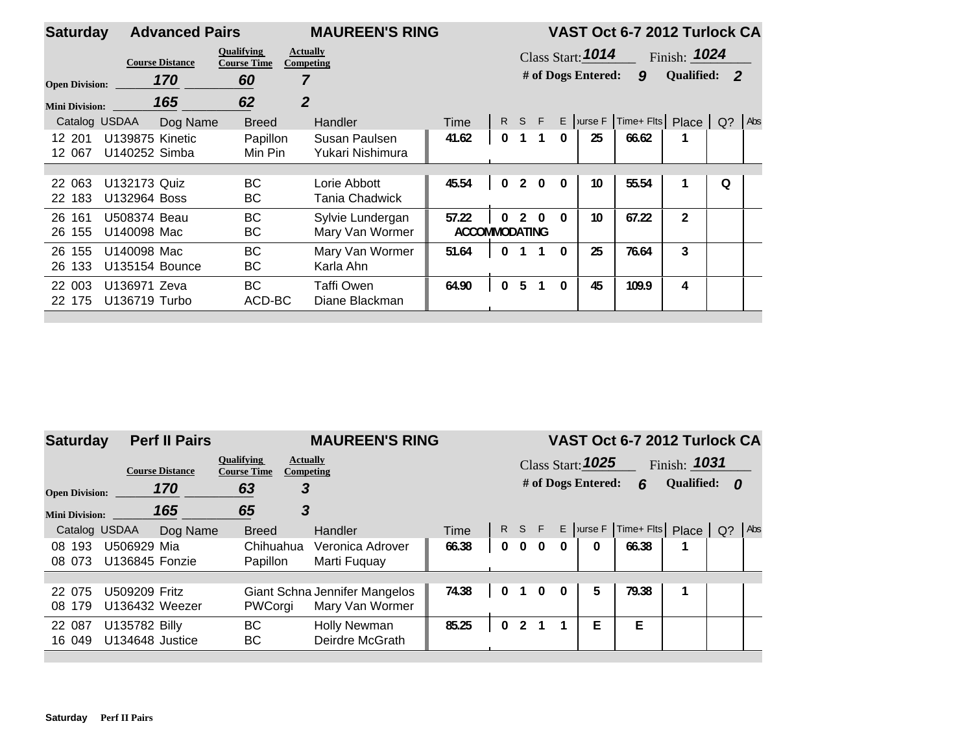| <b>Saturday</b>       |                 | <b>Advanced Pairs</b>  |                                         | <b>MAUREEN'S RING</b>        |                      |              |       |                |              |                     | VAST Oct 6-7 2012 Turlock CA |                |   |     |
|-----------------------|-----------------|------------------------|-----------------------------------------|------------------------------|----------------------|--------------|-------|----------------|--------------|---------------------|------------------------------|----------------|---|-----|
|                       |                 | <b>Course Distance</b> | <b>Oualifying</b><br><b>Course Time</b> | <b>Actually</b><br>Competing |                      |              |       |                |              | Class Start: $1014$ |                              | Finish: $1024$ |   |     |
| <b>Open Division:</b> |                 | 170                    | 60                                      |                              |                      |              |       |                |              | # of Dogs Entered:  | 9                            | Qualified: 2   |   |     |
| <b>Mini Division:</b> |                 | 165                    | 62                                      | $\overline{2}$               |                      |              |       |                |              |                     |                              |                |   |     |
| Catalog USDAA         |                 | Dog Name               | <b>Breed</b>                            | <b>Handler</b>               | Time                 |              | R S F |                |              | $E$ Jurse F         | Time+ Flts Place Q?          |                |   | Abs |
| 12 201                | U139875 Kinetic |                        | Papillon                                | Susan Paulsen                | 41.62                | 0            |       |                | $\mathbf{0}$ | 25                  | 66.62                        |                |   |     |
| 12 067                | U140252 Simba   |                        | Min Pin                                 | Yukari Nishimura             |                      |              |       |                |              |                     |                              |                |   |     |
|                       |                 |                        |                                         |                              |                      |              |       |                |              |                     |                              |                |   |     |
| 22 063                | U132173 Quiz    |                        | ВC                                      | Lorie Abbott                 | 45.54                | $\mathbf{0}$ |       | $2 \quad 0$    | $\mathbf{0}$ | 10                  | 55.54                        |                | O |     |
| 22 183                | U132964 Boss    |                        | ВC                                      | Tania Chadwick               |                      |              |       |                |              |                     |                              |                |   |     |
| 26 161                | U508374 Beau    |                        | <b>BC</b>                               | Sylvie Lundergan             | 57.22                | 0            |       | $2 \Omega$     | $\mathbf{0}$ | 10                  | 67.22                        | $\overline{2}$ |   |     |
| 26 155                | U140098 Mac     |                        | ВC                                      | Mary Van Wormer              | <b>ACCOMMODATING</b> |              |       |                |              |                     |                              |                |   |     |
| 26 155                | U140098 Mac     |                        | <b>BC</b>                               | Mary Van Wormer              | 51.64                | $\mathbf{0}$ |       |                | $\Omega$     | 25                  | 76.64                        | 3              |   |     |
| 26 133                | U135154 Bounce  |                        | BС                                      | Karla Ahn                    |                      |              |       |                |              |                     |                              |                |   |     |
| 22 003                | U136971 Zeva    |                        | <b>BC</b>                               | Taffi Owen                   | 64.90                | $\mathbf{0}$ | 5     | $\overline{1}$ | $\mathbf{0}$ | 45                  | 109.9                        | 4              |   |     |
| 22 175                | U136719 Turbo   |                        | ACD-BC                                  | Diane Blackman               |                      |              |       |                |              |                     |                              |                |   |     |
|                       |                 |                        |                                         |                              |                      |              |       |                |              |                     |                              |                |   |     |

| <b>Saturday</b>       |                        | <b>Perf II Pairs</b> |                                         | <b>MAUREEN'S RING</b>         |       |              |                |              |              |                          | VAST Oct 6-7 2012 Turlock CA |                |       |     |
|-----------------------|------------------------|----------------------|-----------------------------------------|-------------------------------|-------|--------------|----------------|--------------|--------------|--------------------------|------------------------------|----------------|-------|-----|
|                       | <b>Course Distance</b> |                      | <b>Oualifying</b><br><b>Course Time</b> | <b>Actually</b><br>Competing  |       |              |                |              |              | Class Start: <b>1025</b> |                              | Finish: $1031$ |       |     |
| <b>Open Division:</b> | 170                    |                      | 63                                      | 3                             |       |              |                |              |              | # of Dogs Entered:       | 6                            | Qualified: 0   |       |     |
| <b>Mini Division:</b> | 165                    |                      | 65                                      | 3                             |       |              |                |              |              |                          |                              |                |       |     |
| Catalog USDAA         |                        | Dog Name             | <b>Breed</b>                            | <b>Handler</b>                | Time  |              | R S F          |              |              |                          | $E$   urse $F$   Time + Flts | Place          | $Q$ ? | Abs |
| 08 193                | U506929 Mia            |                      | Chihuahua                               | Veronica Adrover              | 66.38 | $\mathbf{0}$ | $\mathbf{0}$   | $\mathbf{0}$ | $\mathbf{0}$ | $\mathbf{0}$             | 66.38                        |                |       |     |
| 08 073                | U136845 Fonzie         |                      | Papillon                                | Marti Fuguay                  |       |              |                |              |              |                          |                              |                |       |     |
|                       |                        |                      |                                         |                               |       |              |                |              |              |                          |                              |                |       |     |
| 22 075                | U509209 Fritz          |                      |                                         | Giant Schna Jennifer Mangelos | 74.38 | $\Omega$     |                |              | $\mathbf{0}$ | 5                        | 79.38                        |                |       |     |
| 08 179                | U136432 Weezer         |                      | PWCorgi                                 | Mary Van Wormer               |       |              |                |              |              |                          |                              |                |       |     |
| 22 087                | U135782 Billy          |                      | <b>BC</b>                               | <b>Holly Newman</b>           | 85.25 | 0            | $\mathfrak{p}$ |              |              | E                        | E.                           |                |       |     |
| 16 049                | U134648 Justice        |                      | ВC                                      | Deirdre McGrath               |       |              |                |              |              |                          |                              |                |       |     |
|                       |                        |                      |                                         |                               |       |              |                |              |              |                          |                              |                |       |     |